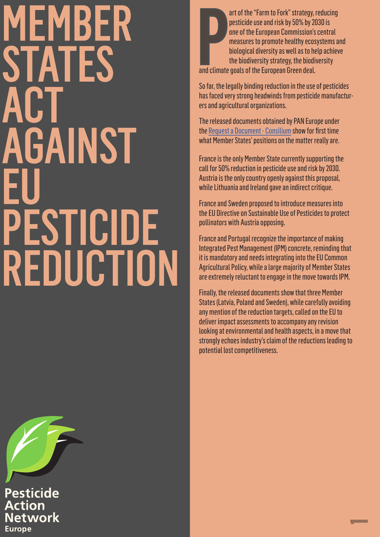#### MEMBER STATES<br>ACT GAINST PESTICIDE REDUCTION

**Pesticide Action Network Europe** 

**D**<br>and climate art of the "Farm to Fork" strategy, reducing pesticide use and risk by 50% by 2030 is one of the European Commission's central measures to promote healthy ecosystems and biological diversity as well as to help achieve the biodiversity strategy, the biodiversity and climate goals of the European Green deal.

So far, the legally binding reduction in the use of pesticides has faced very strong headwinds from pesticide manufacturers and agricultural organizations.

The released documents obtained by PAN Europe under the Request a Document - Consilium show for first time what Member States' positions on the matter really are.

France is the only Member State currently supporting the call for 50% reduction in pesticide use and risk by 2030. Austria is the only country openly against this proposal, while Lithuania and Ireland gave an indirect critique.

France and Sweden proposed to introduce measures into the EU Directive on Sustainable Use of Pesticides to protect pollinators with Austria opposing.

France and Portugal recognize the importance of making Integrated Pest Management (IPM) concrete, reminding that it is mandatory and needs integrating into the EU Common Agricultural Policy, while a large majority of Member States are extremely reluctant to engage in the move towards IPM.

Finally, the released documents show that three Member States (Latvia, Poland and Sweden), while carefully avoiding any mention of the reduction targets, called on the EU to deliver impact assessments to accompany any revision looking at environmental and health aspects, in a move that strongly echoes industry's claim of the reductions leading to potential lost competitiveness.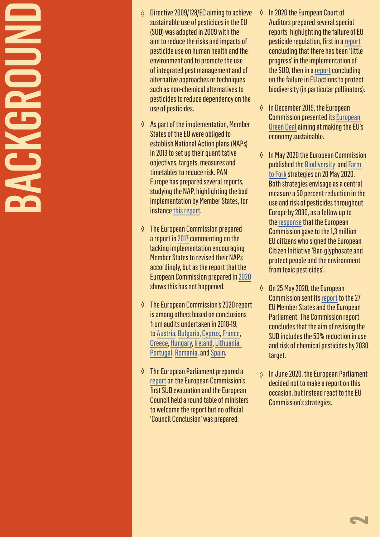# **BACKGROUND NGKGROUN**

- ◊ Directive 2009/128/EC aiming to achieve sustainable use of pesticides in the EU (SUD) was adopted in 2009 with the aim to reduce the risks and impacts of pesticide use on human health and the environment and to promote the use of integrated pest management and of alternative approaches or techniques such as non-chemical alternatives to pesticides to reduce dependency on the use of pesticides.
- ◊ As part of the implementation, Member States of the EU were obliged to establish National Action plans (NAPs) in 2013 to set up their quantitative objectives, targets, measures and timetables to reduce risk. PAN Europe has prepared several reports, studying the NAP, highlighting the bad implementation by Member States, for instance [this report.](https://www.pan-europe.info/sites/pan-europe.info/files/public/resources/reports/pane-2013-reducing-pesticide-use-across-the-eu.pdf)
- ◊ The European Commission prepared a report in [2017](https://ec.europa.eu/food/sites/food/files/plant/docs/pesticides_sup_report-overview_en.pdf) commenting on the lacking implementation encouraging Member States to revised their NAPs accordingly, but as the report that the European Commission prepared in [2020](https://ec.europa.eu/food/sites/food/files/plant/docs/pesticides_sud_report-act_2020_en.pdf) shows this has not happened.
- ◊ The European Commission's 2020 report is among others based on conclusions from audits undertaken in 2018-19, to [Austria,](https://ec.europa.eu/food/audits-analysis/audit_reports/details.cfm?rep_id=4181) [Bulgaria,](https://ec.europa.eu/food/audits-analysis/audit_reports/details.cfm?rep_id=4123) [Cyprus,](https://ec.europa.eu/food/audits-analysis/audit_reports/details.cfm?rep_id=4203) [France,](https://ec.europa.eu/food/audits-analysis/audit_reports/details.cfm?rep_id=4106) [Greece](https://ec.europa.eu/food/audits-analysis/audit_reports/details.cfm?rep_id=4182), [Hungary,](https://ec.europa.eu/food/audits-analysis/audit_reports/details.cfm?rep_id=4080) [Ireland](https://ec.europa.eu/food/audits-analysis/audit_reports/details.cfm?rep_id=4166), [Lithuania](https://ec.europa.eu/food/audits-analysis/audit_reports/details.cfm?rep_id=4166), [Portugal](https://ec.europa.eu/food/audits-analysis/audit_reports/details.cfm?rep_id=4165), [Romania](https://ec.europa.eu/food/audits-analysis/audit_reports/details.cfm?rep_id=4303), and [Spain.](https://ec.europa.eu/food/audits-analysis/audit_reports/details.cfm?rep_id=4078)
- ◊ The European Parliament prepared a [report](https://www.europarl.europa.eu/doceo/document/TA-8-2019-0082_EN.html) on the European Commission's first SUD evaluation and the European Council held a round table of ministers to welcome the report but no official 'Council Conclusion' was prepared.
- ◊ In 2020 the European Court of Auditors prepared several special reports highlighting the failure of EU pesticide regulation, first in a [report](https://www.eca.europa.eu/en/Pages/DocItem.aspx?did=53001) concluding that there has been 'little progress' in the implementation of the SUD, then in a [report](https://www.eca.europa.eu/en/Pages/DocItem.aspx?did=54200) concluding on the failure in EU actions to protect biodiversity (in particular pollinators).
- ◊ In December 2019, the European Commission presented its [European](https://ec.europa.eu/info/strategy/priorities-2019-2024/european-green-deal_en)  [Green Deal](https://ec.europa.eu/info/strategy/priorities-2019-2024/european-green-deal_en) aiming at making the EU's economy sustainable.
- ◊ In May 2020 the European Commission published the [Biodiversity](https://ec.europa.eu/environment/nature/biodiversity/strategy/index_en.htm) and [Farm](https://ec.europa.eu/food/farm2fork_en)  [to Fork](https://ec.europa.eu/food/farm2fork_en) strategies on 20 May 2020. Both strategies envisage as a central measure a 50 percent reduction in the use and risk of pesticides throughout Europe by 2030, as a follow up to the [response](https://ec.europa.eu/commission/presscorner/detail/en/IP_17_5191) that the European Commission gave to the 1,3 million EU citizens who signed the European Citizen Initiative 'Ban glyphosate and protect people and the environment from toxic pesticides'.
- ◊ On 25 May 2020, the European Commission sent its [report](https://data.consilium.europa.eu/doc/document/ST-8238-2020-INIT/en/pdf) to the 27 EU Member States and the European Parliament. The Commission report concludes that the aim of revising the SUD includes the 50% reduction in use and risk of chemical pesticides by 2030 target.
- In June 2020, the European Parliament decided not to make a report on this occasion, but instead react to the EU Commission's strategies.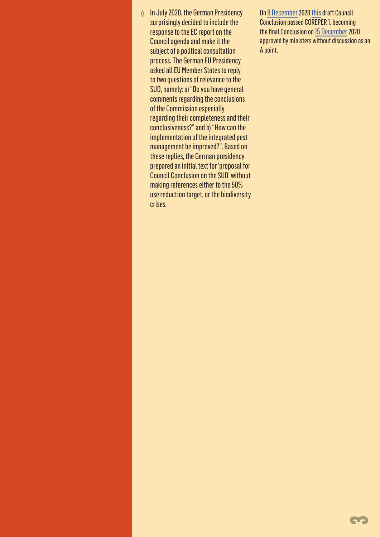◊ In July 2020, the German Presidency surprisingly decided to include the response to the EC report on the Council agenda and make it the subject of a political consultation process. The German EU Presidency asked all EU Member States to reply to two questions of relevance to the SUD, namely: a) "Do you have general comments regarding the conclusions of the Commission especially regarding their completeness and their conclusiveness?" and b)"How can the implementation of the integrated pest management be improved?". Based on these replies, the German presidency prepared an initial text for 'proposal for Council Conclusion on the SUD' without making references either to the 50% use reduction target, or the biodiversity crises.

On [9 December](https://data.consilium.europa.eu/doc/document/ST-13785-2020-INIT/en/pdf) 2020 [this](https://www.consilium.europa.eu/en/documents-publications/public-register/public-register-search/results/?AllLanguagesSearch=False&OnlyPublicDocuments=False&DocumentNumber=13441%2F20&DocumentLanguage=EN) draft Council Conclusion passed COREPER 1, becoming the final Conclusion on [15 December](https://data.consilium.europa.eu/doc/document/ST-13785-2020-INIT/en/pdf) 2020 approved by ministers without discussion as an A point.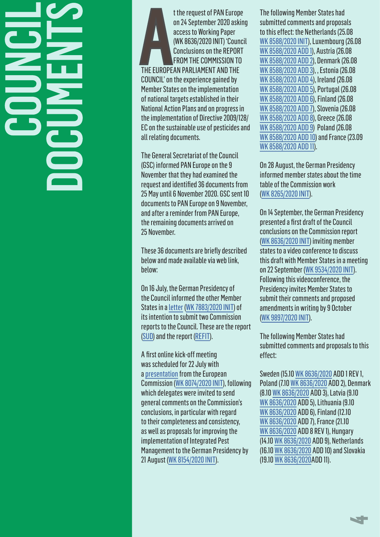## **CONCIL** DOCUMENTS

THE EUROPE t the request of PAN Europe on 24 September 2020 asking access to Working Paper (WK 8636/2020 INIT) 'Council Conclusions on the REPORT FROM THE COMMISSION TO THE EUROPEAN PARLIAMENT AND THE COUNCIL' on the experience gained by Member States on the implementation of national targets established in their National Action Plans and on progress in the implementation of Directive 2009/128/ EC on the sustainable use of pesticides and all relating documents.

The General Secretariat of the Council (GSC) informed PAN Europe on the 9 November that they had examined the request and identified 36 documents from 25 May until 6 November 2020. GSC sent 10 documents to PAN Europe on 9 November, and after a reminder from PAN Europe, the remaining documents arrived on 25 November.

These 36 documents are briefly described below and made available via web link, helow:

On 16 July, the German Presidency of the Council informed the other Member States in a [letter](https://www.pan-europe.info/sites/pan-europe.info/files/WK%207883%202020%20INIT.pdf) [\(WK 7883/2020 INIT](https://www.pan-europe.info/sites/pan-europe.info/files/WK%207883%202020%20INIT.pdf)) of its intention to submit two Commission reports to the Council. These are the report [\(SUD\)](https://ec.europa.eu/food/sites/food/files/plant/docs/pesticides_sud_report-act_2020_en.pdf) and the report ([REFIT\)](https://ec.europa.eu/food/plant/pesticides/refit_en).

A first online kick-off meeting was scheduled for 22 July with a presentation from the European Commission ([WK 8074/2020 INIT\)](https://www.pan-europe.info/sites/pan-europe.info/files/WK%208074%202020%20INIT.pdf), following which delegates were invited to send general comments on the Commission's conclusions, in particular with regard to their completeness and consistency, as well as proposals for improving the implementation of Integrated Pest Management to the German Presidency by 21 August ([WK 8154/2020 INIT\)](https://www.pan-europe.info/sites/pan-europe.info/files/WK%208154%202020%20INIT.pdf).

The following Member States had submitted comments and proposals to this effect: the Netherlands (25.08 [WK 8588/2020 INIT\)](https://www.pan-europe.info/sites/pan-europe.info/files/WK%208588%202020%20INIT%20Netherlands.pdf), Luxembourg (26.08 [WK 8588/2020 ADD 1](https://www.pan-europe.info/sites/pan-europe.info/files/WK%208588%202020%20luxembourg.pdf)), Austria (26.08 [WK 8588/2020 ADD 2](https://www.pan-europe.info/sites/pan-europe.info/files/WK%208588%202020%20Austria.pdf)), Denmark (26.08 [WK 8588/2020 ADD 3](https://www.pan-europe.info/sites/pan-europe.info/files/WK%208588%202020%20DK.pdf)), , Estonia (26.08 [WK 8588/2020 ADD 4\)](https://www.pan-europe.info/sites/pan-europe.info/files/WK%208588%202020%20Estonia.pdf), Ireland (26.08 [WK 8588/2020 ADD 5\)](https://www.pan-europe.info/sites/pan-europe.info/files/WK%208588%202020%20Ireland.pdf), Portugal (26.08 [WK 8588/2020 ADD 6\)](https://www.pan-europe.info/sites/pan-europe.info/files/WK%208588%202020%20portugal.pdf), Finland (26.08 [WK 8588/2020 ADD 7](https://www.pan-europe.info/sites/pan-europe.info/files/WK%208588%202020%20finland.pdf)), Slovenia (26.08 [WK 8588/2020 ADD 8\)](https://www.pan-europe.info/sites/pan-europe.info/files/WK%208588%202020%20slovenia.pdf), Greece (26.08 [WK 8588/2020 ADD 9\)](https://www.pan-europe.info/sites/pan-europe.info/files/WK%208588%202020%20greece.pdf) Poland (26.08 [WK 8588/2020 ADD 10](https://www.pan-europe.info/sites/pan-europe.info/files/WK%208588%202020%20poland.pdf)) and France (23.09 [WK 8588/2020 ADD 11](https://www.pan-europe.info/sites/pan-europe.info/files/WK%208588%202020%20france.pdf)).

On 28 August, the German Presidency informed member states about the time table of the Commission work ([WK 8265/2020 INIT\)](https://www.pan-europe.info/sites/pan-europe.info/files/WK%208265%202020%20INIT.pdf).

On 14 September, the German Presidency presented a first draft of the Council conclusions on the Commission report ([WK 8636/2020 INIT](https://www.pan-europe.info/sites/pan-europe.info/files/WK%208636%202020%20INIT.pdf)) inviting member states to a video conference to discuss this draft with Member States in a meeting on 22 September [\(WK 9534/2020 INIT](https://www.pan-europe.info/sites/pan-europe.info/files/WK%209534%202020%20INIT.pdf)). Following this videoconference, the Presidency invites Member States to submit their comments and proposed amendments in writing by 9 October ([WK 9897/2020 INIT](https://www.pan-europe.info/sites/pan-europe.info/files/WK%209897%202020%20INIT.pdf)).

The following Member States had submitted comments and proposals to this effect:

Sweden (15.10 [WK 8636/2020](https://www.pan-europe.info/sites/pan-europe.info/files/wk08636-sweden%202.pdf) ADD 1 REV 1, Poland (7.10 [WK 8636/2020](https://www.pan-europe.info/sites/pan-europe.info/files/wk08636-poland.pdf) ADD 2), Denmark (8.10 [WK 8636/2020](https://www.pan-europe.info/sites/pan-europe.info/files/wk08636-Denmark.pdf) ADD 3), Latvia (9.10 [WK 8636/2020](https://www.pan-europe.info/sites/pan-europe.info/files/wk08636-latvia.pdf) ADD 5), Lithuania (9.10 [WK 8636/2020](https://www.pan-europe.info/sites/pan-europe.info/files/wk08636-lithuania.pdf) ADD 6), Finland (12.10 [WK 8636/2020](https://www.pan-europe.info/sites/pan-europe.info/files/wk08636-finland.pdf) ADD 7), France (21.10 [WK 8636/2020](https://www.pan-europe.info/sites/pan-europe.info/files/wk08636-France%20(EN).pdf) ADD 8 REV 1), Hungary (14.10 [WK 8636/2020](https://www.pan-europe.info/sites/pan-europe.info/files/wk08636-Hungary.pdf) ADD 9), Netherlands (16.10 [WK 8636/2020](https://www.pan-europe.info/sites/pan-europe.info/files/wk08636-Netherlands.pdf) ADD 10) and Slovakia (19.10 [WK 8636/2020A](https://www.pan-europe.info/sites/pan-europe.info/files/wk08636-slovak.pdf)DD 11).

4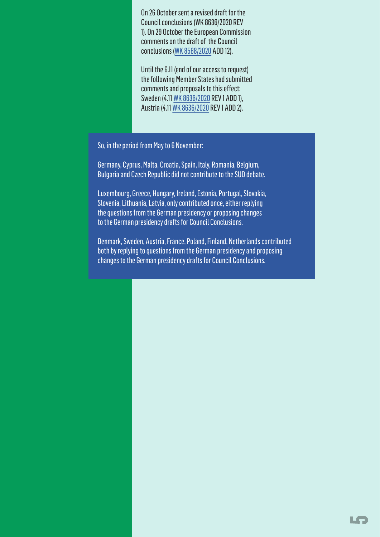On 26 October sent a revised draft for the Council conclusions (WK 8636/2020 REV 1). On 29 October the European Commission comments on the draft of the Council conclusions ([WK 8588/2020](https://www.pan-europe.info/sites/pan-europe.info/files/WK%208588%202020%20European%20Commission%20reaction.pdf) ADD 12).

Until the 6.11 (end of our access to request) the following Member States had submitted comments and proposals to this effect: Sweden (4.11 [WK 8636/2020](https://www.pan-europe.info/sites/pan-europe.info/files/wk08636-Sweden.pdf) REV 1 ADD 1), Austria (4.11 [WK 8636/2020](https://www.pan-europe.info/sites/pan-europe.info/files/wk08636-Austria.pdf) REV 1 ADD 2).

So, in the period from May to 6 November:

Germany, Cyprus, Malta, Croatia, Spain, Italy, Romania, Belgium, Bulgaria and Czech Republic did not contribute to the SUD debate.

Luxembourg, Greece, Hungary, Ireland, Estonia, Portugal, Slovakia, Slovenia, Lithuania, Latvia, only contributed once, either replying the questions from the German presidency or proposing changes to the German presidency drafts for Council Conclusions.

Denmark, Sweden, Austria, France, Poland, Finland, Netherlands contributed both by replying to questions from the German presidency and proposing changes to the German presidency drafts for Council Conclusions.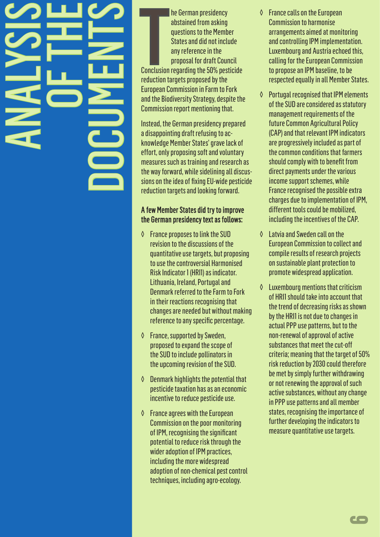### ANALYSIS OF THE DOCUMENTS

**Conclusion** he German presidency abstained from asking questions to the Member States and did not include any reference in the proposal for draft Council Conclusion regarding the 50% pesticide reduction targets proposed by the European Commission in Farm to Fork and the Biodiversity Strategy, despite the Commission report mentioning that.

Instead, the German presidency prepared a disappointing draft refusing to acknowledge Member States' grave lack of effort, only proposing soft and voluntary measures such as training and research as the way forward, while sidelining all discussions on the idea of fixing EU-wide pesticide reduction targets and looking forward.

#### A few Member States did try to improve the German presidency text as follows:

- ◊ France proposes to link the SUD revision to the discussions of the quantitative use targets, but proposing to use the controversial Harmonised Risk Indicator 1 (HRI1) as indicator. Lithuania, Ireland, Portugal and Denmark referred to the Farm to Fork in their reactions recognising that changes are needed but without making reference to any specific percentage.
- ◊ France, supported by Sweden, proposed to expand the scope of the SUD to include pollinators in the upcoming revision of the SUD.
- ◊ Denmark highlights the potential that pesticide taxation has as an economic incentive to reduce pesticide use.
- ◊ France agrees with the European Commission on the poor monitoring of IPM, recognising the significant potential to reduce risk through the wider adoption of IPM practices, including the more widespread adoption of non-chemical pest control techniques, including agro-ecology.
- **France calls on the European** Commission to harmonise arrangements aimed at monitoring and controlling IPM implementation. Luxembourg and Austria echoed this, calling for the European Commission to propose an IPM baseline, to be respected equally in all Member States.
- **Portugal recognised that IPM elements** of the SUD are considered as statutory management requirements of the future Common Agricultural Policy (CAP) and that relevant IPM indicators are progressively included as part of the common conditions that farmers should comply with to benefit from direct payments under the various income support schemes, while France recognised the possible extra charges due to implementation of IPM, different tools could be mobilized, including the incentives of the CAP.
- ◊ Latvia and Sweden call on the European Commission to collect and compile results of research projects on sustainable plant protection to promote widespread application.
- ◊ Luxembourg mentions that criticism of HRI1 should take into account that the trend of decreasing risks as shown by the HRI1 is not due to changes in actual PPP use patterns, but to the non-renewal of approval of active substances that meet the cut-off criteria; meaning that the target of 50% risk reduction by 2030 could therefore be met by simply further withdrawing or not renewing the approval of such active substances, without any change in PPP use patterns and all member states, recognising the importance of further developing the indicators to measure quantitative use targets.

6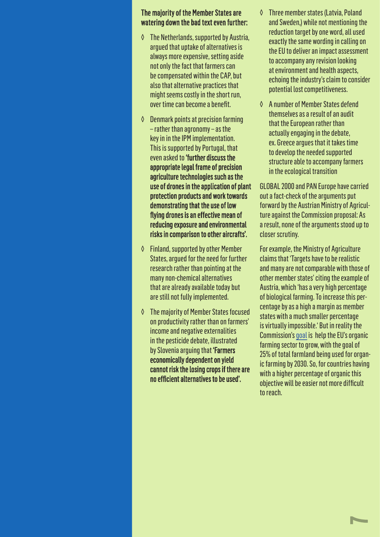#### The majority of the Member States are watering down the bad text even further:

- ◊ The Netherlands, supported by Austria, argued that uptake of alternatives is always more expensive, setting aside not only the fact that farmers can be compensated within the CAP, but also that alternative practices that might seems costly in the short run, over time can become a benefit.
- ◊ Denmark points at precision farming – rather than agronomy – as the key in in the IPM implementation. This is supported by Portugal, that even asked to 'further discuss the appropriate legal frame of precision agriculture technologies such as the use of drones in the application of plant protection products and work towards demonstrating that the use of low flying drones is an effective mean of reducing exposure and environmental risks in comparison to other aircrafts'.
- ◊ Finland, supported by other Member States, argued for the need for further research rather than pointing at the many non-chemical alternatives that are already available today but are still not fully implemented.
- ◊ The majority of Member States focused on productivity rather than on farmers' income and negative externalities in the pesticide debate, illustrated by Slovenia arguing that 'Farmers economically dependent on yield cannot risk the losing crops if there are no efficient alternatives to be used'.
- Three member states (Latvia, Poland and Sweden,) while not mentioning the reduction target by one word, all used exactly the same wording in calling on the EU to deliver an impact assessment to accompany any revision looking at environment and health aspects, echoing the industry's claim to consider potential lost competitiveness.
- ◊ A number of Member States defend themselves as a result of an audit that the European rather than actually engaging in the debate, ex. Greece argues that it takes time to develop the needed supported structure able to accompany farmers in the ecological transition

GLOBAL 2000 and PAN Europe have carried out a fact-check of the arguments put forward by the Austrian Ministry of Agriculture against the Commission proposal: As a result, none of the arguments stood up to closer scrutiny.

For example, the Ministry of Agriculture claims that 'Targets have to be realistic and many are not comparable with those of other member states' citing the example of Austria, which 'has a very high percentage of biological farming. To increase this percentage by as a high a margin as member states with a much smaller percentage is virtually impossible.' But in reality the Commission's [goal](https://ec.europa.eu/info/strategy/priorities-2019-2024/european-green-deal/actions-being-taken-eu/farm-fork_en) is help the EU's organic farming sector to grow, with the goal of 25% of total farmland being used for organic farming by 2030. So, for countries having with a higher percentage of organic this objective will be easier not more difficult to reach.

 $\blacktriangleright$